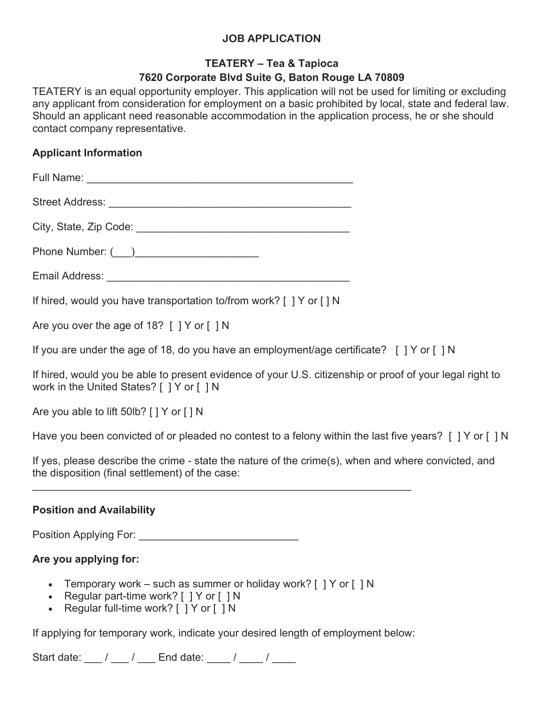## **JOB APPLICATION**

## **TEATERY – Tea & Tapioca 7620 Corporate Blvd Suite G, Baton Rouge LA 70809**

TEATERY is an equal opportunity employer. This application will not be used for limiting or excluding any applicant from consideration for employment on a basic prohibited by local, state and federal law. Should an applicant need reasonable accommodation in the application process, he or she should contact company representative.

### **Applicant Information**

| Full Name: Value of the Manuscript of the Manuscript of the Manuscript of the Manuscript of the Manuscript of the Ma                                                                                                           |
|--------------------------------------------------------------------------------------------------------------------------------------------------------------------------------------------------------------------------------|
| Street Address: The Contract of the Contract of the Contract of the Contract of the Contract of the Contract of the Contract of the Contract of the Contract of the Contract of the Contract of the Contract of the Contract o |
|                                                                                                                                                                                                                                |
|                                                                                                                                                                                                                                |

Email Address: **Email Address:** 

If hired, would you have transportation to/from work? [ ] Y or [ ] N

Are you over the age of 18? [ ] Y or [ ] N

If you are under the age of 18, do you have an employment/age certificate? [ ] Y or [ ] N

If hired, would you be able to present evidence of your U.S. citizenship or proof of your legal right to work in the United States? [ ] Y or [ ] N

Are you able to lift 50lb? [ ] Y or [ ] N

Have you been convicted of or pleaded no contest to a felony within the last five years? [ ] Y or [ ] N

If yes, please describe the crime - state the nature of the crime(s), when and where convicted, and the disposition (final settlement) of the case:

#### **Position and Availability**

Position Applying For: \_\_\_\_\_\_\_\_\_\_\_\_\_\_\_\_\_\_\_\_\_\_\_\_\_\_\_\_\_\_\_\_

## **Are you applying for:**

• Temporary work – such as summer or holiday work?  $\lceil$  | Y or  $\lceil$  | N

\_\_\_\_\_\_\_\_\_\_\_\_\_\_\_\_\_\_\_\_\_\_\_\_\_\_\_\_\_\_\_\_\_\_\_\_\_\_\_\_\_\_\_\_\_\_\_\_\_\_\_\_\_\_\_\_\_\_\_\_\_\_\_\_

- Regular part-time work? [ ] Y or [ ] N
- Regular full-time work? [ ] Y or [ ] N

If applying for temporary work, indicate your desired length of employment below:

Start date: \_\_\_ / \_\_\_ / \_\_\_ End date: \_\_\_ / \_\_\_ / \_\_\_\_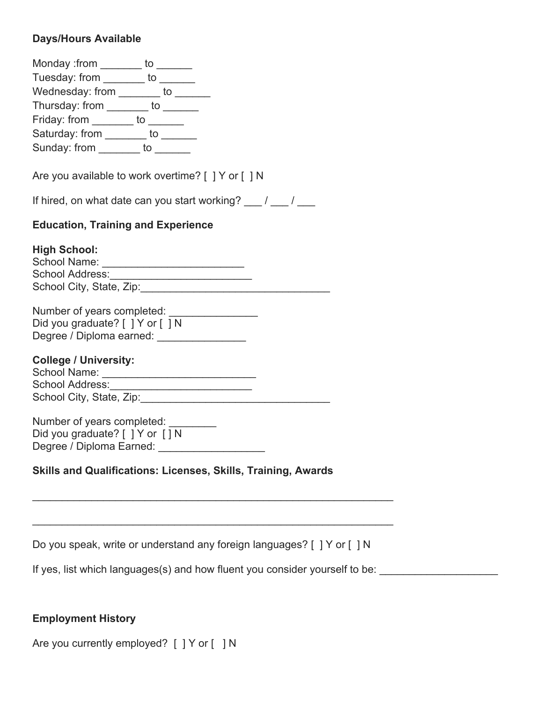# **Days/Hours Available**

| Monday :from ________ to ______                                                                                                       |  |
|---------------------------------------------------------------------------------------------------------------------------------------|--|
| Tuesday: from ________ to ______                                                                                                      |  |
| Wednesday: from _______ to ______                                                                                                     |  |
| Thursday: from ________ to ______                                                                                                     |  |
| Friday: from ________ to ______                                                                                                       |  |
| Saturday: from _______ to ______                                                                                                      |  |
| Sunday: from _______ to ______                                                                                                        |  |
| Are you available to work overtime? [ ] Y or [ ] N                                                                                    |  |
| If hired, on what date can you start working? $\frac{1}{\sqrt{2}}$                                                                    |  |
| <b>Education, Training and Experience</b>                                                                                             |  |
| <b>High School:</b><br>School Name: Manual Manual Manual Manual Manual Manual Manual Manual Manual Manual Manual Manual Manual Manual |  |
|                                                                                                                                       |  |
| Number of years completed: __________________                                                                                         |  |
| Did you graduate? [ ] Y or [ ] N                                                                                                      |  |
| Degree / Diploma earned: ________________                                                                                             |  |
| <b>College / University:</b><br>School Name: ________________________________                                                         |  |
| School Address: _____________________________                                                                                         |  |
|                                                                                                                                       |  |
| Number of years completed: _______<br>Did you graduate? $[$ $]$ $Y$ or $[$ $]$ $N$<br>Degree / Diploma Earned: __________________     |  |
| <b>Skills and Qualifications: Licenses, Skills, Training, Awards</b>                                                                  |  |
|                                                                                                                                       |  |
|                                                                                                                                       |  |

| Do you speak, write or understand any foreign languages? [ ] Y or [ ] N |  |  |  |  |
|-------------------------------------------------------------------------|--|--|--|--|
|-------------------------------------------------------------------------|--|--|--|--|

If yes, list which languages(s) and how fluent you consider yourself to be: \_\_\_\_\_\_\_\_\_\_\_\_\_\_\_\_\_\_\_\_\_\_\_\_\_\_\_\_\_\_\_\_\_

## **Employment History**

Are you currently employed? [ ] Y or [ ] N